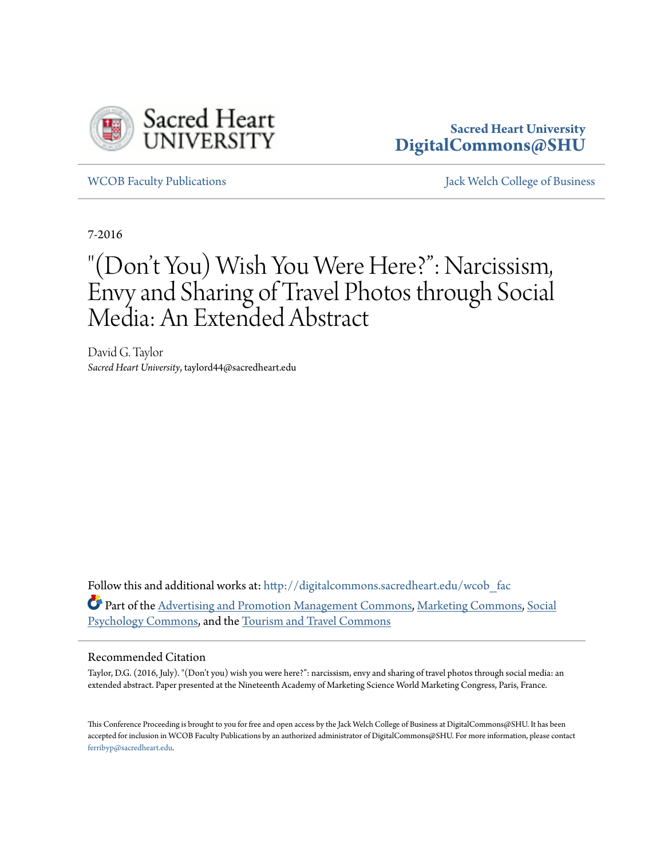

# **Sacred Heart University [DigitalCommons@SHU](http://digitalcommons.sacredheart.edu?utm_source=digitalcommons.sacredheart.edu%2Fwcob_fac%2F417&utm_medium=PDF&utm_campaign=PDFCoverPages)**

[WCOB Faculty Publications](http://digitalcommons.sacredheart.edu/wcob_fac?utm_source=digitalcommons.sacredheart.edu%2Fwcob_fac%2F417&utm_medium=PDF&utm_campaign=PDFCoverPages) [Jack Welch College of Business](http://digitalcommons.sacredheart.edu/wcob?utm_source=digitalcommons.sacredheart.edu%2Fwcob_fac%2F417&utm_medium=PDF&utm_campaign=PDFCoverPages)

7-2016

# "(Don 't You) Wish You Were Here?": Narcissism, Envy and Sharing of Travel Photos through Social Media: An Extended Abstract

David G. Taylor *Sacred Heart University*, taylord44@sacredheart.edu

Follow this and additional works at: [http://digitalcommons.sacredheart.edu/wcob\\_fac](http://digitalcommons.sacredheart.edu/wcob_fac?utm_source=digitalcommons.sacredheart.edu%2Fwcob_fac%2F417&utm_medium=PDF&utm_campaign=PDFCoverPages) Part of the [Advertising and Promotion Management Commons,](http://network.bepress.com/hgg/discipline/626?utm_source=digitalcommons.sacredheart.edu%2Fwcob_fac%2F417&utm_medium=PDF&utm_campaign=PDFCoverPages) [Marketing Commons,](http://network.bepress.com/hgg/discipline/638?utm_source=digitalcommons.sacredheart.edu%2Fwcob_fac%2F417&utm_medium=PDF&utm_campaign=PDFCoverPages) [Social](http://network.bepress.com/hgg/discipline/414?utm_source=digitalcommons.sacredheart.edu%2Fwcob_fac%2F417&utm_medium=PDF&utm_campaign=PDFCoverPages) [Psychology Commons,](http://network.bepress.com/hgg/discipline/414?utm_source=digitalcommons.sacredheart.edu%2Fwcob_fac%2F417&utm_medium=PDF&utm_campaign=PDFCoverPages) and the [Tourism and Travel Commons](http://network.bepress.com/hgg/discipline/1082?utm_source=digitalcommons.sacredheart.edu%2Fwcob_fac%2F417&utm_medium=PDF&utm_campaign=PDFCoverPages)

#### Recommended Citation

Taylor, D.G. (2016, July). "(Don't you) wish you were here?": narcissism, envy and sharing of travel photos through social media: an extended abstract. Paper presented at the Nineteenth Academy of Marketing Science World Marketing Congress, Paris, France.

This Conference Proceeding is brought to you for free and open access by the Jack Welch College of Business at DigitalCommons@SHU. It has been accepted for inclusion in WCOB Faculty Publications by an authorized administrator of DigitalCommons@SHU. For more information, please contact [ferribyp@sacredheart.edu](mailto:ferribyp@sacredheart.edu).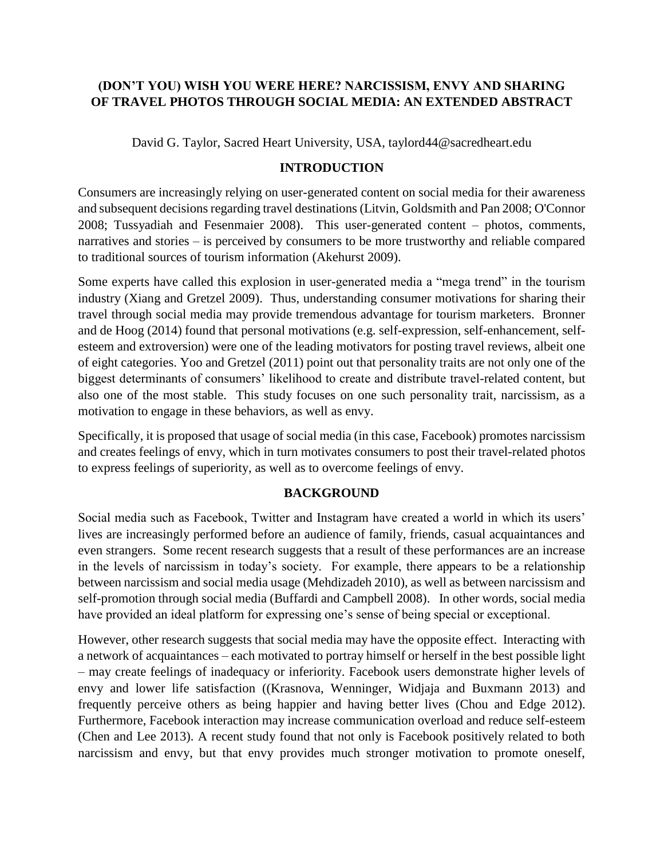# **(DON'T YOU) WISH YOU WERE HERE? NARCISSISM, ENVY AND SHARING OF TRAVEL PHOTOS THROUGH SOCIAL MEDIA: AN EXTENDED ABSTRACT**

David G. Taylor, Sacred Heart University, USA, taylord44@sacredheart.edu

# **INTRODUCTION**

Consumers are increasingly relying on user-generated content on social media for their awareness and subsequent decisions regarding travel destinations (Litvin, Goldsmith and Pan 2008; O'Connor 2008; Tussyadiah and Fesenmaier 2008). This user-generated content – photos, comments, narratives and stories – is perceived by consumers to be more trustworthy and reliable compared to traditional sources of tourism information (Akehurst 2009).

Some experts have called this explosion in user-generated media a "mega trend" in the tourism industry (Xiang and Gretzel 2009). Thus, understanding consumer motivations for sharing their travel through social media may provide tremendous advantage for tourism marketers. Bronner and de Hoog (2014) found that personal motivations (e.g. self-expression, self-enhancement, selfesteem and extroversion) were one of the leading motivators for posting travel reviews, albeit one of eight categories. Yoo and Gretzel (2011) point out that personality traits are not only one of the biggest determinants of consumers' likelihood to create and distribute travel-related content, but also one of the most stable. This study focuses on one such personality trait, narcissism, as a motivation to engage in these behaviors, as well as envy.

Specifically, it is proposed that usage of social media (in this case, Facebook) promotes narcissism and creates feelings of envy, which in turn motivates consumers to post their travel-related photos to express feelings of superiority, as well as to overcome feelings of envy.

### **BACKGROUND**

Social media such as Facebook, Twitter and Instagram have created a world in which its users' lives are increasingly performed before an audience of family, friends, casual acquaintances and even strangers. Some recent research suggests that a result of these performances are an increase in the levels of narcissism in today's society. For example, there appears to be a relationship between narcissism and social media usage (Mehdizadeh 2010), as well as between narcissism and self-promotion through social media (Buffardi and Campbell 2008). In other words, social media have provided an ideal platform for expressing one's sense of being special or exceptional.

However, other research suggests that social media may have the opposite effect. Interacting with a network of acquaintances – each motivated to portray himself or herself in the best possible light – may create feelings of inadequacy or inferiority. Facebook users demonstrate higher levels of envy and lower life satisfaction ((Krasnova, Wenninger, Widjaja and Buxmann 2013) and frequently perceive others as being happier and having better lives (Chou and Edge 2012). Furthermore, Facebook interaction may increase communication overload and reduce self-esteem (Chen and Lee 2013). A recent study found that not only is Facebook positively related to both narcissism and envy, but that envy provides much stronger motivation to promote oneself,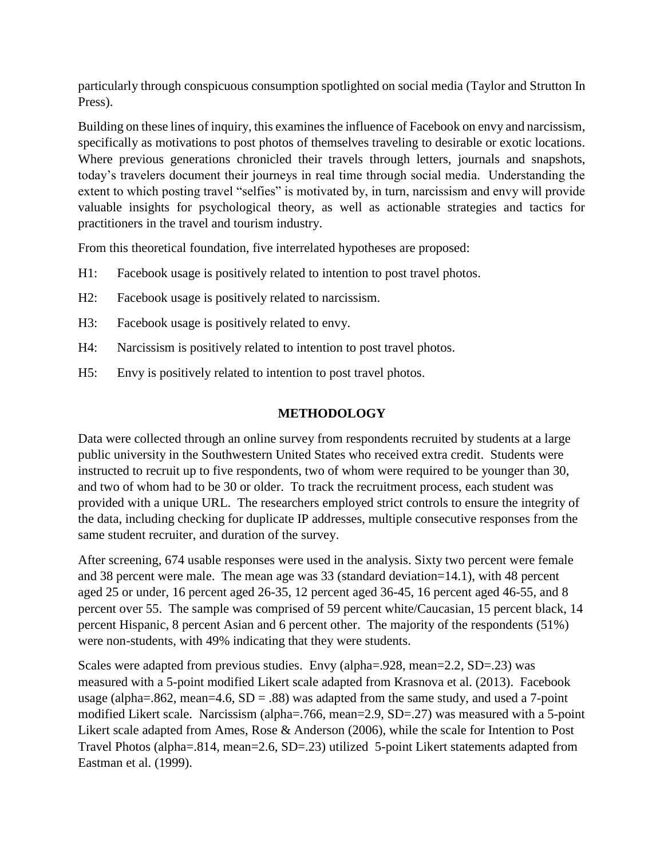particularly through conspicuous consumption spotlighted on social media (Taylor and Strutton In Press).

Building on these lines of inquiry, this examines the influence of Facebook on envy and narcissism, specifically as motivations to post photos of themselves traveling to desirable or exotic locations. Where previous generations chronicled their travels through letters, journals and snapshots, today's travelers document their journeys in real time through social media. Understanding the extent to which posting travel "selfies" is motivated by, in turn, narcissism and envy will provide valuable insights for psychological theory, as well as actionable strategies and tactics for practitioners in the travel and tourism industry.

From this theoretical foundation, five interrelated hypotheses are proposed:

- H1: Facebook usage is positively related to intention to post travel photos.
- H2: Facebook usage is positively related to narcissism.
- H3: Facebook usage is positively related to envy.
- H4: Narcissism is positively related to intention to post travel photos.
- H5: Envy is positively related to intention to post travel photos.

# **METHODOLOGY**

Data were collected through an online survey from respondents recruited by students at a large public university in the Southwestern United States who received extra credit. Students were instructed to recruit up to five respondents, two of whom were required to be younger than 30, and two of whom had to be 30 or older. To track the recruitment process, each student was provided with a unique URL. The researchers employed strict controls to ensure the integrity of the data, including checking for duplicate IP addresses, multiple consecutive responses from the same student recruiter, and duration of the survey.

After screening, 674 usable responses were used in the analysis. Sixty two percent were female and 38 percent were male. The mean age was 33 (standard deviation=14.1), with 48 percent aged 25 or under, 16 percent aged 26-35, 12 percent aged 36-45, 16 percent aged 46-55, and 8 percent over 55. The sample was comprised of 59 percent white/Caucasian, 15 percent black, 14 percent Hispanic, 8 percent Asian and 6 percent other. The majority of the respondents (51%) were non-students, with 49% indicating that they were students.

Scales were adapted from previous studies. Envy (alpha=.928, mean=2.2, SD=.23) was measured with a 5-point modified Likert scale adapted from Krasnova et al. (2013). Facebook usage (alpha=.862, mean=4.6,  $SD = .88$ ) was adapted from the same study, and used a 7-point modified Likert scale. Narcissism (alpha=.766, mean=2.9, SD=.27) was measured with a 5-point Likert scale adapted from Ames, Rose & Anderson (2006), while the scale for Intention to Post Travel Photos (alpha=.814, mean=2.6, SD=.23) utilized 5-point Likert statements adapted from Eastman et al. (1999).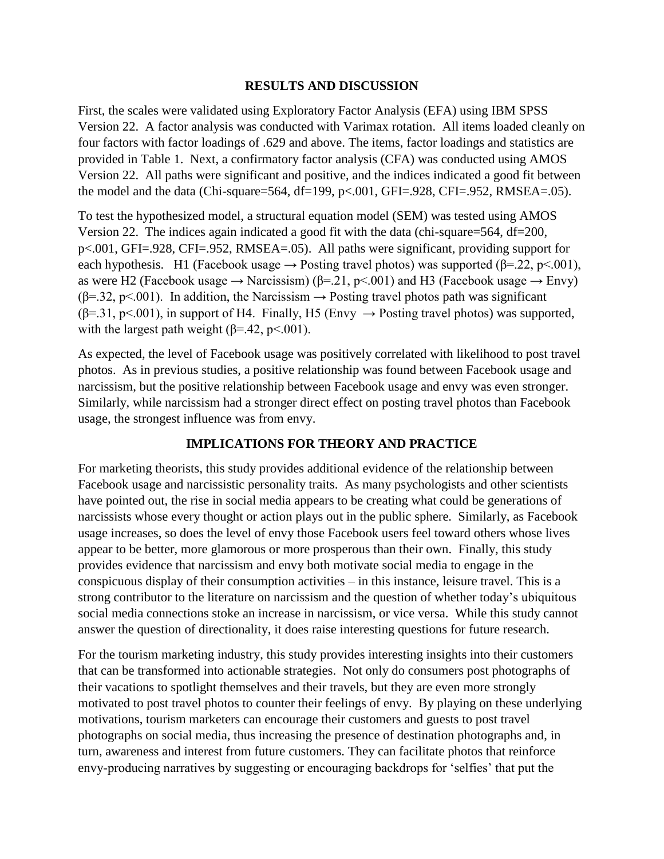## **RESULTS AND DISCUSSION**

First, the scales were validated using Exploratory Factor Analysis (EFA) using IBM SPSS Version 22. A factor analysis was conducted with Varimax rotation. All items loaded cleanly on four factors with factor loadings of .629 and above. The items, factor loadings and statistics are provided in Table 1. Next, a confirmatory factor analysis (CFA) was conducted using AMOS Version 22. All paths were significant and positive, and the indices indicated a good fit between the model and the data (Chi-square=564, df=199, p<.001, GFI=.928, CFI=.952, RMSEA=.05).

To test the hypothesized model, a structural equation model (SEM) was tested using AMOS Version 22. The indices again indicated a good fit with the data (chi-square=564, df=200, p<.001, GFI=.928, CFI=.952, RMSEA=.05). All paths were significant, providing support for each hypothesis. H1 (Facebook usage  $\rightarrow$  Posting travel photos) was supported (β=.22, p<.001), as were H2 (Facebook usage  $\rightarrow$  Narcissism) ( $\beta$ =.21,  $p$ <.001) and H3 (Facebook usage  $\rightarrow$  Envy) ( $\beta$ =.32, p<.001). In addition, the Narcissism  $\rightarrow$  Posting travel photos path was significant  $(\beta=31, p<.001)$ , in support of H4. Finally, H5 (Envy  $\rightarrow$  Posting travel photos) was supported, with the largest path weight ( $\beta$ =.42, p<.001).

As expected, the level of Facebook usage was positively correlated with likelihood to post travel photos. As in previous studies, a positive relationship was found between Facebook usage and narcissism, but the positive relationship between Facebook usage and envy was even stronger. Similarly, while narcissism had a stronger direct effect on posting travel photos than Facebook usage, the strongest influence was from envy.

# **IMPLICATIONS FOR THEORY AND PRACTICE**

For marketing theorists, this study provides additional evidence of the relationship between Facebook usage and narcissistic personality traits. As many psychologists and other scientists have pointed out, the rise in social media appears to be creating what could be generations of narcissists whose every thought or action plays out in the public sphere. Similarly, as Facebook usage increases, so does the level of envy those Facebook users feel toward others whose lives appear to be better, more glamorous or more prosperous than their own. Finally, this study provides evidence that narcissism and envy both motivate social media to engage in the conspicuous display of their consumption activities – in this instance, leisure travel. This is a strong contributor to the literature on narcissism and the question of whether today's ubiquitous social media connections stoke an increase in narcissism, or vice versa. While this study cannot answer the question of directionality, it does raise interesting questions for future research.

For the tourism marketing industry, this study provides interesting insights into their customers that can be transformed into actionable strategies. Not only do consumers post photographs of their vacations to spotlight themselves and their travels, but they are even more strongly motivated to post travel photos to counter their feelings of envy. By playing on these underlying motivations, tourism marketers can encourage their customers and guests to post travel photographs on social media, thus increasing the presence of destination photographs and, in turn, awareness and interest from future customers. They can facilitate photos that reinforce envy-producing narratives by suggesting or encouraging backdrops for 'selfies' that put the